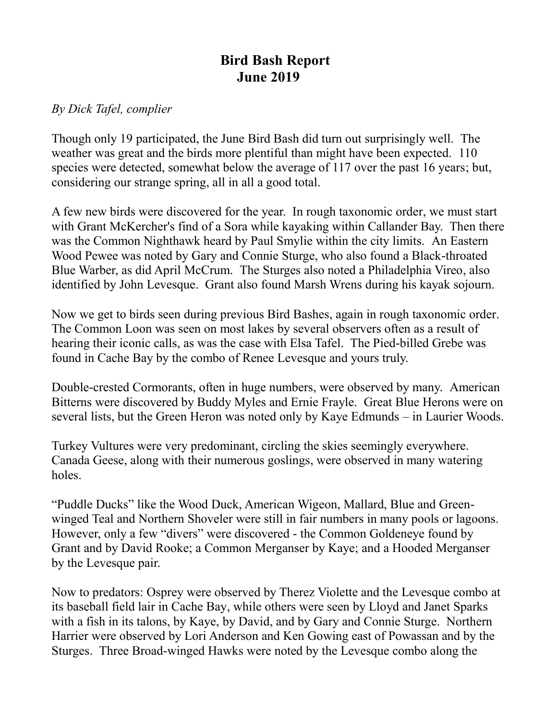## **Bird Bash Report June 2019**

## *By Dick Tafel, complier*

Though only 19 participated, the June Bird Bash did turn out surprisingly well. The weather was great and the birds more plentiful than might have been expected. 110 species were detected, somewhat below the average of 117 over the past 16 years; but, considering our strange spring, all in all a good total.

A few new birds were discovered for the year. In rough taxonomic order, we must start with Grant McKercher's find of a Sora while kayaking within Callander Bay. Then there was the Common Nighthawk heard by Paul Smylie within the city limits. An Eastern Wood Pewee was noted by Gary and Connie Sturge, who also found a Black-throated Blue Warber, as did April McCrum. The Sturges also noted a Philadelphia Vireo, also identified by John Levesque. Grant also found Marsh Wrens during his kayak sojourn.

Now we get to birds seen during previous Bird Bashes, again in rough taxonomic order. The Common Loon was seen on most lakes by several observers often as a result of hearing their iconic calls, as was the case with Elsa Tafel. The Pied-billed Grebe was found in Cache Bay by the combo of Renee Levesque and yours truly.

Double-crested Cormorants, often in huge numbers, were observed by many. American Bitterns were discovered by Buddy Myles and Ernie Frayle. Great Blue Herons were on several lists, but the Green Heron was noted only by Kaye Edmunds – in Laurier Woods.

Turkey Vultures were very predominant, circling the skies seemingly everywhere. Canada Geese, along with their numerous goslings, were observed in many watering holes.

"Puddle Ducks" like the Wood Duck, American Wigeon, Mallard, Blue and Greenwinged Teal and Northern Shoveler were still in fair numbers in many pools or lagoons. However, only a few "divers" were discovered - the Common Goldeneye found by Grant and by David Rooke; a Common Merganser by Kaye; and a Hooded Merganser by the Levesque pair.

Now to predators: Osprey were observed by Therez Violette and the Levesque combo at its baseball field lair in Cache Bay, while others were seen by Lloyd and Janet Sparks with a fish in its talons, by Kaye, by David, and by Gary and Connie Sturge. Northern Harrier were observed by Lori Anderson and Ken Gowing east of Powassan and by the Sturges. Three Broad-winged Hawks were noted by the Levesque combo along the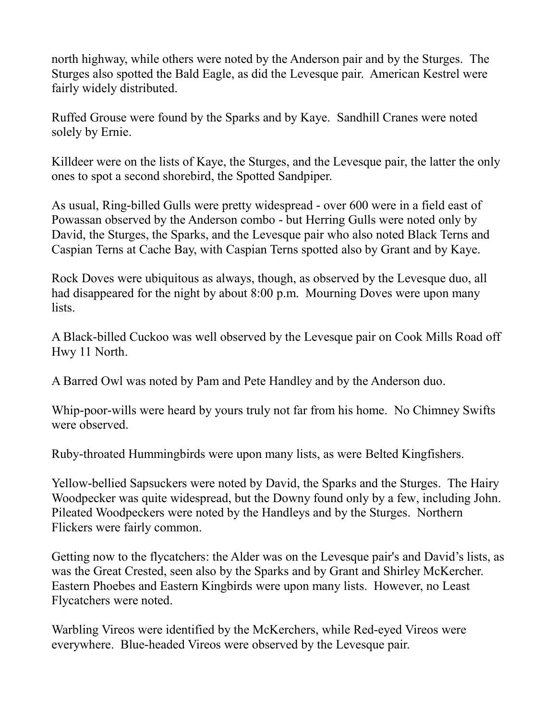north highway, while others were noted by the Anderson pair and by the Sturges. The Sturges also spotted the Bald Eagle, as did the Levesque pair. American Kestrel were fairly widely distributed.

Ruffed Grouse were found by the Sparks and by Kaye. Sandhill Cranes were noted solely by Ernie.

Killdeer were on the lists of Kaye, the Sturges, and the Levesque pair, the latter the only ones to spot a second shorebird, the Spotted Sandpiper.

As usual, Ring-billed Gulls were pretty widespread - over 600 were in a field east of Powassan observed by the Anderson combo - but Herring Gulls were noted only by David, the Sturges, the Sparks, and the Levesque pair who also noted Black Terns and Caspian Terns at Cache Bay, with Caspian Terns spotted also by Grant and by Kaye.

Rock Doves were ubiquitous as always, though, as observed by the Levesque duo, all had disappeared for the night by about 8:00 p.m. Mourning Doves were upon many lists.

A Black-billed Cuckoo was well observed by the Levesque pair on Cook Mills Road off Hwy 11 North.

A Barred Owl was noted by Pam and Pete Handley and by the Anderson duo.

Whip-poor-wills were heard by yours truly not far from his home. No Chimney Swifts were observed.

Ruby-throated Hummingbirds were upon many lists, as were Belted Kingfishers.

Yellow-bellied Sapsuckers were noted by David, the Sparks and the Sturges. The Hairy Woodpecker was quite widespread, but the Downy found only by a few, including John. Pileated Woodpeckers were noted by the Handleys and by the Sturges. Northern Flickers were fairly common.

Getting now to the flycatchers: the Alder was on the Levesque pair's and David's lists, as was the Great Crested, seen also by the Sparks and by Grant and Shirley McKercher. Eastern Phoebes and Eastern Kingbirds were upon many lists. However, no Least Flycatchers were noted.

Warbling Vireos were identified by the McKerchers, while Red-eyed Vireos were everywhere. Blue-headed Vireos were observed by the Levesque pair.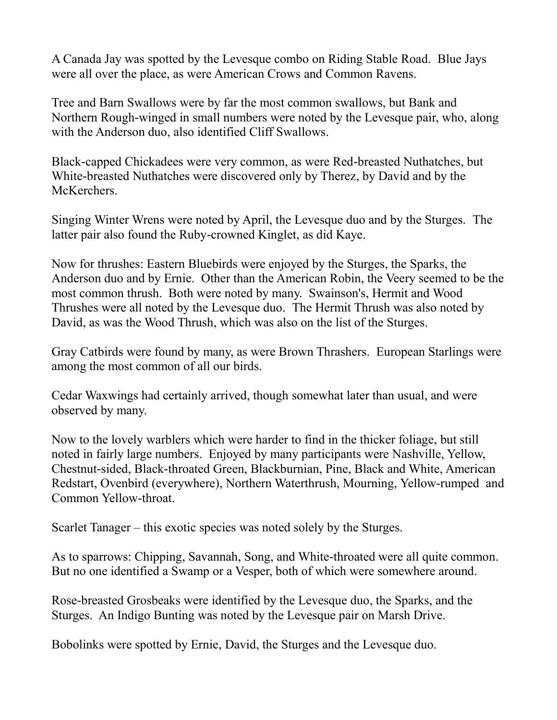A Canada Jay was spotted by the Levesque combo on Riding Stable Road. Blue Jays were all over the place, as were American Crows and Common Ravens.

Tree and Barn Swallows were by far the most common swallows, but Bank and Northern Rough-winged in small numbers were noted by the Levesque pair, who, along with the Anderson duo, also identified Cliff Swallows.

Black-capped Chickadees were very common, as were Red-breasted Nuthatches, but White-breasted Nuthatches were discovered only by Therez, by David and by the McKerchers.

Singing Winter Wrens were noted by April, the Levesque duo and by the Sturges. The latter pair also found the Ruby-crowned Kinglet, as did Kaye.

Now for thrushes: Eastern Bluebirds were enjoyed by the Sturges, the Sparks, the Anderson duo and by Ernie. Other than the American Robin, the Veery seemed to be the most common thrush. Both were noted by many. Swainson's, Hermit and Wood Thrushes were all noted by the Levesque duo. The Hermit Thrush was also noted by David, as was the Wood Thrush, which was also on the list of the Sturges.

Gray Catbirds were found by many, as were Brown Thrashers. European Starlings were among the most common of all our birds.

Cedar Waxwings had certainly arrived, though somewhat later than usual, and were observed by many.

Now to the lovely warblers which were harder to find in the thicker foliage, but still noted in fairly large numbers. Enjoyed by many participants were Nashville, Yellow, Chestnut-sided, Black-throated Green, Blackburnian, Pine, Black and White, American Redstart, Ovenbird (everywhere), Northern Waterthrush, Mourning, Yellow-rumped and Common Yellow-throat.

Scarlet Tanager – this exotic species was noted solely by the Sturges.

As to sparrows: Chipping, Savannah, Song, and White-throated were all quite common. But no one identified a Swamp or a Vesper, both of which were somewhere around.

Rose-breasted Grosbeaks were identified by the Levesque duo, the Sparks, and the Sturges. An Indigo Bunting was noted by the Levesque pair on Marsh Drive.

Bobolinks were spotted by Ernie, David, the Sturges and the Levesque duo.